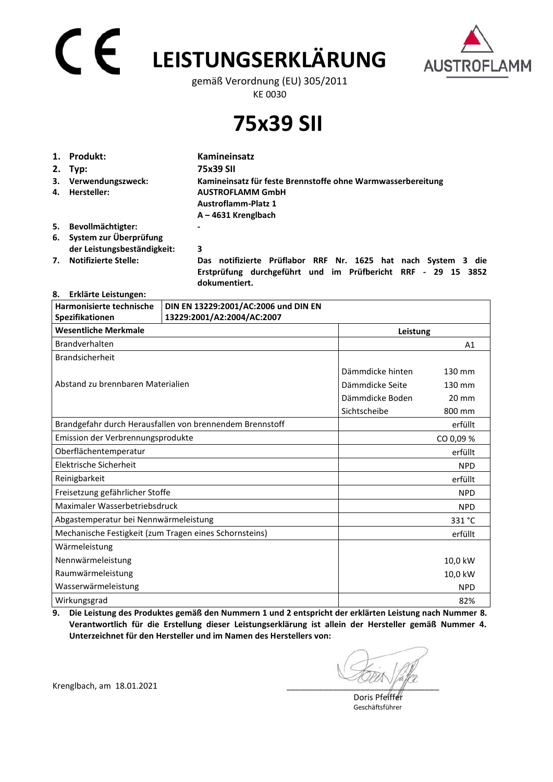# **LEISTUNGSERKLÄRUNG**



gemäß Verordnung (EU) 305/2011 KE 0030

**75x39 SII**

|    | 1. Produkt:                                              | Kamineinsatz                                                                                                                     |  |
|----|----------------------------------------------------------|----------------------------------------------------------------------------------------------------------------------------------|--|
|    | $2.$ Typ:                                                | 75x39 SII                                                                                                                        |  |
| 4. | 3. Verwendungszweck:<br>Hersteller:                      | Kamineinsatz für feste Brennstoffe ohne Warmwasserbereitung<br><b>AUSTROFLAMM GmbH</b><br><b>Austroflamm-Platz 1</b>             |  |
|    |                                                          | $A - 4631$ Krenglbach                                                                                                            |  |
| 5. | Bevollmächtigter:                                        | $\blacksquare$                                                                                                                   |  |
|    | 6. System zur Überprüfung<br>der Leistungsbeständigkeit: | 3                                                                                                                                |  |
| 7. | <b>Notifizierte Stelle:</b>                              | notifizierte Prüflabor RRF Nr. 1625 hat nach System 3 die<br>Das<br>Erstprüfung durchgeführt und im Prüfbericht RRF - 29 15 3852 |  |

 **dokumentiert.** 

### **8. Erklärte Leistungen:**

| Harmonisierte technische                               | DIN EN 13229:2001/AC:2006 und DIN EN                     |                  |                 |
|--------------------------------------------------------|----------------------------------------------------------|------------------|-----------------|
| Spezifikationen                                        | 13229:2001/A2:2004/AC:2007                               |                  |                 |
| <b>Wesentliche Merkmale</b>                            | Leistung                                                 |                  |                 |
| Brandverhalten                                         |                                                          |                  | A1              |
| <b>Brandsicherheit</b>                                 |                                                          |                  |                 |
|                                                        |                                                          | Dämmdicke hinten | 130 mm          |
| Abstand zu brennbaren Materialien                      |                                                          | Dämmdicke Seite  | 130 mm          |
|                                                        |                                                          | Dämmdicke Boden  | $20 \text{ mm}$ |
|                                                        |                                                          | Sichtscheibe     | 800 mm          |
|                                                        | Brandgefahr durch Herausfallen von brennendem Brennstoff |                  | erfüllt         |
| Emission der Verbrennungsprodukte                      |                                                          |                  | CO 0,09 %       |
| Oberflächentemperatur                                  |                                                          |                  | erfüllt         |
| Elektrische Sicherheit                                 |                                                          |                  | <b>NPD</b>      |
| Reinigbarkeit                                          |                                                          |                  | erfüllt         |
| Freisetzung gefährlicher Stoffe                        |                                                          |                  | <b>NPD</b>      |
| Maximaler Wasserbetriebsdruck                          |                                                          |                  | <b>NPD</b>      |
| Abgastemperatur bei Nennwärmeleistung                  |                                                          |                  | 331 °C          |
| Mechanische Festigkeit (zum Tragen eines Schornsteins) |                                                          |                  | erfüllt         |
| Wärmeleistung                                          |                                                          |                  |                 |
| Nennwärmeleistung                                      |                                                          |                  | 10,0 kW         |
| Raumwärmeleistung                                      |                                                          |                  | 10,0 kW         |
| Wasserwärmeleistung                                    |                                                          |                  | <b>NPD</b>      |
| Wirkungsgrad                                           |                                                          |                  | 82%             |

**9. Die Leistung des Produktes gemäß den Nummern 1 und 2 entspricht der erklärten Leistung nach Nummer 8. Verantwortlich für die Erstellung dieser Leistungserklärung ist allein der Hersteller gemäß Nummer 4. Unterzeichnet für den Hersteller und im Namen des Herstellers von:** 

Krenglbach, am 18.01.2021

 Doris Pfeiffer Geschäftsführer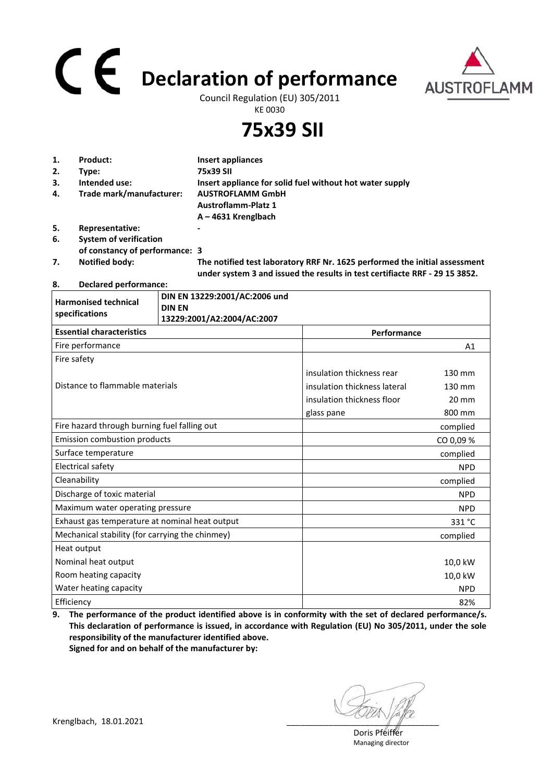## **Declaration of performance**



Council Regulation (EU) 305/2011 KE 0030

**75x39 SII**

| 1. | Product:                       | Insert appliances                                                          |
|----|--------------------------------|----------------------------------------------------------------------------|
| 2. | Type:                          | 75x39 SII                                                                  |
| 3. | Intended use:                  | Insert appliance for solid fuel without hot water supply                   |
| 4. | Trade mark/manufacturer:       | <b>AUSTROFLAMM GmbH</b>                                                    |
|    |                                | <b>Austroflamm-Platz 1</b>                                                 |
|    |                                | $A - 4631$ Krenglbach                                                      |
| 5. | Representative:                | $\blacksquare$                                                             |
| 6. | <b>System of verification</b>  |                                                                            |
|    | of constancy of performance: 3 |                                                                            |
| 7. | <b>Notified body:</b>          | The notified test laboratory RRF Nr. 1625 performed the initial assessment |

 **under system 3 and issued the results in test certifiacte RRF - 29 15 3852.** 

**8. Declared performance:** 

| <b>Harmonised technical</b><br>specifications   | DIN EN 13229:2001/AC:2006 und<br><b>DIN EN</b><br>13229:2001/A2:2004/AC:2007 |                              |                 |
|-------------------------------------------------|------------------------------------------------------------------------------|------------------------------|-----------------|
| <b>Essential characteristics</b>                |                                                                              | Performance                  |                 |
| Fire performance                                |                                                                              |                              | A1              |
| Fire safety                                     |                                                                              |                              |                 |
|                                                 |                                                                              | insulation thickness rear    | 130 mm          |
| Distance to flammable materials                 |                                                                              | insulation thickness lateral | 130 mm          |
|                                                 |                                                                              | insulation thickness floor   | $20 \text{ mm}$ |
|                                                 |                                                                              | glass pane                   | 800 mm          |
| Fire hazard through burning fuel falling out    |                                                                              |                              | complied        |
| <b>Emission combustion products</b>             |                                                                              |                              | CO 0,09 %       |
| Surface temperature                             |                                                                              |                              | complied        |
| <b>Electrical safety</b>                        |                                                                              |                              | <b>NPD</b>      |
| Cleanability                                    |                                                                              |                              | complied        |
| Discharge of toxic material                     |                                                                              |                              | <b>NPD</b>      |
| Maximum water operating pressure                |                                                                              |                              | <b>NPD</b>      |
| Exhaust gas temperature at nominal heat output  |                                                                              |                              | 331 °C          |
| Mechanical stability (for carrying the chinmey) |                                                                              |                              | complied        |
| Heat output                                     |                                                                              |                              |                 |
| Nominal heat output                             |                                                                              |                              | 10,0 kW         |
| Room heating capacity                           |                                                                              |                              | 10,0 kW         |
| Water heating capacity                          |                                                                              |                              | <b>NPD</b>      |
| Efficiency                                      |                                                                              |                              | 82%             |

**9. The performance of the product identified above is in conformity with the set of declared performance/s. This declaration of performance is issued, in accordance with Regulation (EU) No 305/2011, under the sole responsibility of the manufacturer identified above. Signed for and on behalf of the manufacturer by:**

 Doris Pfeiffer Managing director

Krenglbach, 18.01.2021